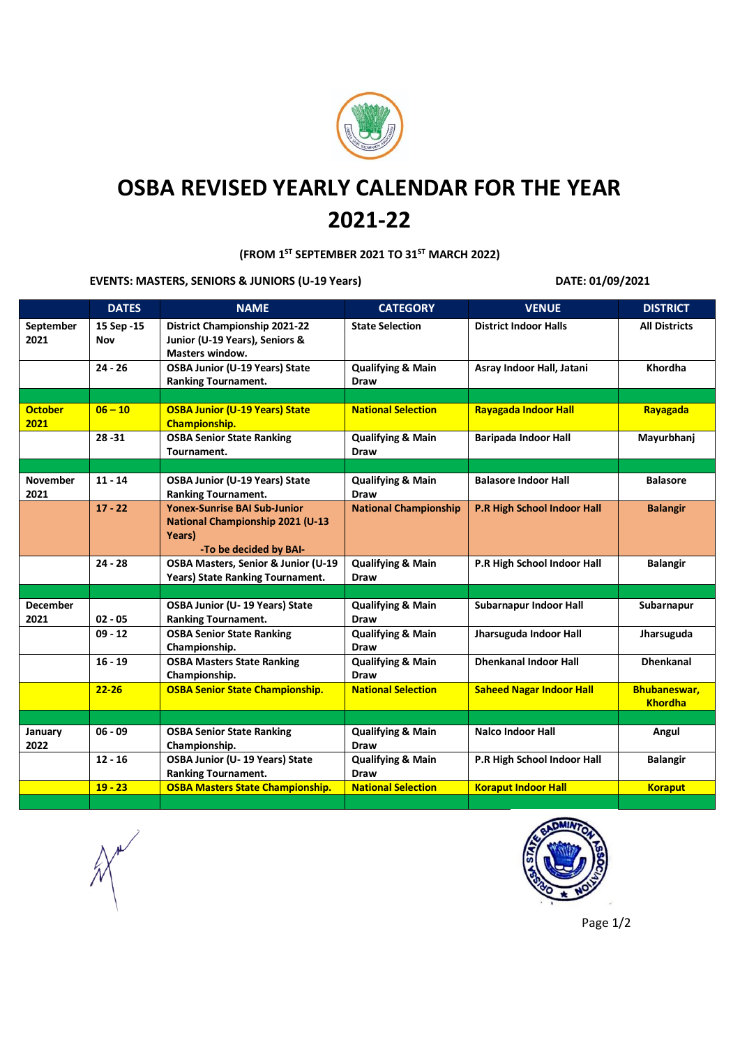

## **OSBA REVISED YEARLY CALENDAR FOR THE YEAR 2021-22**

**(FROM 1ST SEPTEMBER 2021 TO 31ST MARCH 2022)**

**EVENTS: MASTERS, SENIORS & JUNIORS (U-19 Years) DATE: 01/09/2021**

|                         | <b>DATES</b>       | <b>NAME</b>                                                                                                        | <b>CATEGORY</b>                             | <b>VENUE</b>                       | <b>DISTRICT</b>                       |
|-------------------------|--------------------|--------------------------------------------------------------------------------------------------------------------|---------------------------------------------|------------------------------------|---------------------------------------|
| September<br>2021       | 15 Sep - 15<br>Nov | <b>District Championship 2021-22</b><br>Junior (U-19 Years), Seniors &<br><b>Masters window.</b>                   | <b>State Selection</b>                      | <b>District Indoor Halls</b>       | <b>All Districts</b>                  |
|                         | $24 - 26$          | <b>OSBA Junior (U-19 Years) State</b><br><b>Ranking Tournament.</b>                                                | <b>Qualifying &amp; Main</b><br><b>Draw</b> | Asray Indoor Hall, Jatani          | Khordha                               |
|                         |                    |                                                                                                                    |                                             |                                    |                                       |
| <b>October</b><br>2021  | $06 - 10$          | <b>OSBA Junior (U-19 Years) State</b><br>Championship.                                                             | <b>National Selection</b>                   | <b>Rayagada Indoor Hall</b>        | Rayagada                              |
|                         | $28 - 31$          | <b>OSBA Senior State Ranking</b><br>Tournament.                                                                    | <b>Qualifying &amp; Main</b><br><b>Draw</b> | <b>Baripada Indoor Hall</b>        | Mayurbhanj                            |
|                         |                    |                                                                                                                    |                                             |                                    |                                       |
| <b>November</b><br>2021 | $11 - 14$          | <b>OSBA Junior (U-19 Years) State</b><br><b>Ranking Tournament.</b>                                                | <b>Qualifying &amp; Main</b><br>Draw        | <b>Balasore Indoor Hall</b>        | <b>Balasore</b>                       |
|                         | $17 - 22$          | <b>Yonex-Sunrise BAI Sub-Junior</b><br><b>National Championship 2021 (U-13</b><br>Years)<br>-To be decided by BAI- | <b>National Championship</b>                | <b>P.R High School Indoor Hall</b> | <b>Balangir</b>                       |
|                         | $24 - 28$          | OSBA Masters, Senior & Junior (U-19<br>Years) State Ranking Tournament.                                            | <b>Qualifying &amp; Main</b><br>Draw        | P.R High School Indoor Hall        | <b>Balangir</b>                       |
|                         |                    |                                                                                                                    |                                             |                                    |                                       |
| <b>December</b><br>2021 | $02 - 05$          | OSBA Junior (U-19 Years) State<br><b>Ranking Tournament.</b>                                                       | <b>Qualifying &amp; Main</b><br>Draw        | Subarnapur Indoor Hall             | Subarnapur                            |
|                         | $09 - 12$          | <b>OSBA Senior State Ranking</b><br>Championship.                                                                  | <b>Qualifying &amp; Main</b><br>Draw        | Jharsuguda Indoor Hall             | Jharsuguda                            |
|                         | $16 - 19$          | <b>OSBA Masters State Ranking</b><br>Championship.                                                                 | <b>Qualifying &amp; Main</b><br>Draw        | <b>Dhenkanal Indoor Hall</b>       | <b>Dhenkanal</b>                      |
|                         | $22 - 26$          | <b>OSBA Senior State Championship.</b>                                                                             | <b>National Selection</b>                   | <b>Saheed Nagar Indoor Hall</b>    | <b>Bhubaneswar,</b><br><b>Khordha</b> |
|                         |                    |                                                                                                                    |                                             |                                    |                                       |
| January<br>2022         | $06 - 09$          | <b>OSBA Senior State Ranking</b><br>Championship.                                                                  | <b>Qualifying &amp; Main</b><br>Draw        | <b>Nalco Indoor Hall</b>           | Angul                                 |
|                         | $12 - 16$          | OSBA Junior (U-19 Years) State<br><b>Ranking Tournament.</b>                                                       | <b>Qualifying &amp; Main</b><br>Draw        | P.R High School Indoor Hall        | <b>Balangir</b>                       |
|                         | $19 - 23$          | <b>OSBA Masters State Championship.</b>                                                                            | <b>National Selection</b>                   | <b>Koraput Indoor Hall</b>         | <b>Koraput</b>                        |



Page 1/2